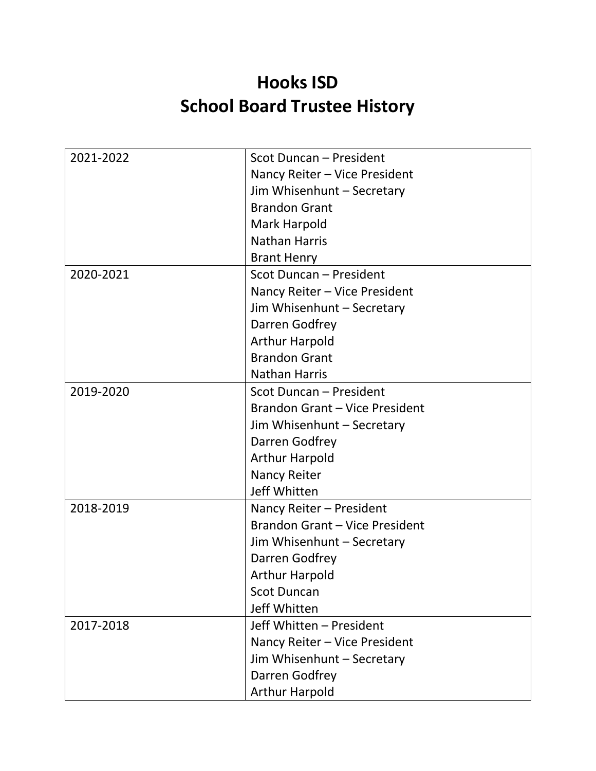## **Hooks ISD School Board Trustee History**

| 2021-2022 | Scot Duncan - President        |
|-----------|--------------------------------|
|           | Nancy Reiter - Vice President  |
|           | Jim Whisenhunt - Secretary     |
|           | <b>Brandon Grant</b>           |
|           | Mark Harpold                   |
|           | <b>Nathan Harris</b>           |
|           | <b>Brant Henry</b>             |
| 2020-2021 | Scot Duncan - President        |
|           | Nancy Reiter - Vice President  |
|           | Jim Whisenhunt - Secretary     |
|           | Darren Godfrey                 |
|           | <b>Arthur Harpold</b>          |
|           | <b>Brandon Grant</b>           |
|           | <b>Nathan Harris</b>           |
| 2019-2020 | Scot Duncan - President        |
|           | Brandon Grant - Vice President |
|           | Jim Whisenhunt - Secretary     |
|           | Darren Godfrey                 |
|           | <b>Arthur Harpold</b>          |
|           | Nancy Reiter                   |
|           | Jeff Whitten                   |
| 2018-2019 | Nancy Reiter - President       |
|           | Brandon Grant - Vice President |
|           | Jim Whisenhunt - Secretary     |
|           | Darren Godfrey                 |
|           | <b>Arthur Harpold</b>          |
|           | <b>Scot Duncan</b>             |
|           | Jeff Whitten                   |
| 2017-2018 | Jeff Whitten - President       |
|           | Nancy Reiter - Vice President  |
|           | Jim Whisenhunt - Secretary     |
|           | Darren Godfrey                 |
|           | <b>Arthur Harpold</b>          |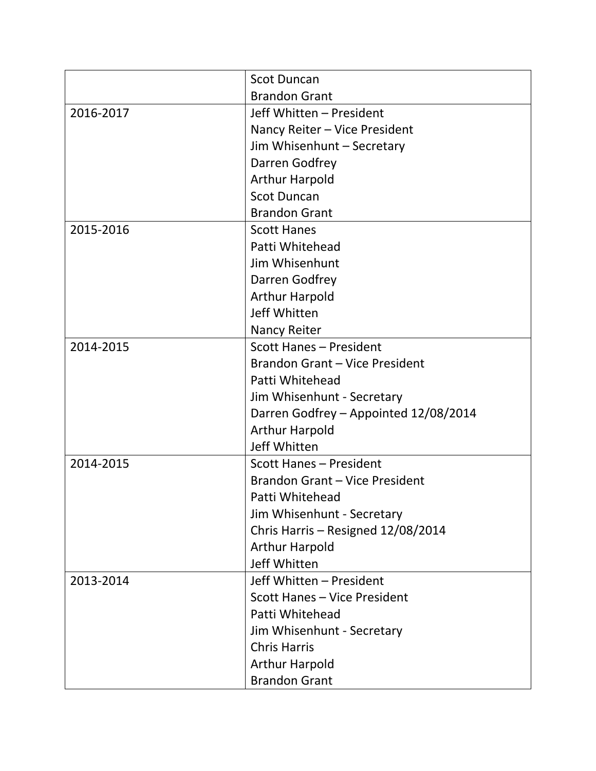|           | <b>Scot Duncan</b>                    |
|-----------|---------------------------------------|
|           | <b>Brandon Grant</b>                  |
| 2016-2017 | Jeff Whitten - President              |
|           | Nancy Reiter - Vice President         |
|           | Jim Whisenhunt - Secretary            |
|           | Darren Godfrey                        |
|           | <b>Arthur Harpold</b>                 |
|           | <b>Scot Duncan</b>                    |
|           | <b>Brandon Grant</b>                  |
| 2015-2016 | <b>Scott Hanes</b>                    |
|           | Patti Whitehead                       |
|           | Jim Whisenhunt                        |
|           | Darren Godfrey                        |
|           | <b>Arthur Harpold</b>                 |
|           | Jeff Whitten                          |
|           | <b>Nancy Reiter</b>                   |
| 2014-2015 | Scott Hanes - President               |
|           | Brandon Grant - Vice President        |
|           | Patti Whitehead                       |
|           | Jim Whisenhunt - Secretary            |
|           | Darren Godfrey - Appointed 12/08/2014 |
|           | <b>Arthur Harpold</b>                 |
|           | Jeff Whitten                          |
| 2014-2015 | Scott Hanes - President               |
|           | Brandon Grant - Vice President        |
|           | Patti Whitehead                       |
|           | Jim Whisenhunt - Secretary            |
|           | Chris Harris - Resigned 12/08/2014    |
|           | <b>Arthur Harpold</b>                 |
|           | Jeff Whitten                          |
| 2013-2014 | Jeff Whitten - President              |
|           | Scott Hanes - Vice President          |
|           | Patti Whitehead                       |
|           | Jim Whisenhunt - Secretary            |
|           | <b>Chris Harris</b>                   |
|           | <b>Arthur Harpold</b>                 |
|           | <b>Brandon Grant</b>                  |